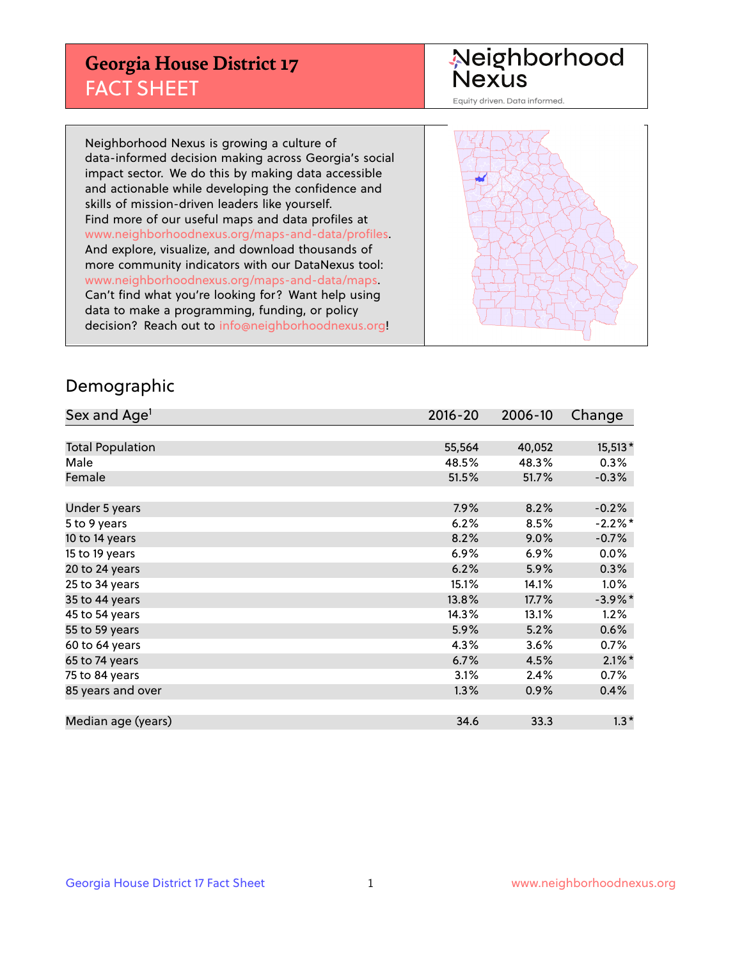## **Georgia House District 17** FACT SHEET

# Neighborhood<br>Nexus

Equity driven. Data informed.

Neighborhood Nexus is growing a culture of data-informed decision making across Georgia's social impact sector. We do this by making data accessible and actionable while developing the confidence and skills of mission-driven leaders like yourself. Find more of our useful maps and data profiles at www.neighborhoodnexus.org/maps-and-data/profiles. And explore, visualize, and download thousands of more community indicators with our DataNexus tool: www.neighborhoodnexus.org/maps-and-data/maps. Can't find what you're looking for? Want help using data to make a programming, funding, or policy decision? Reach out to [info@neighborhoodnexus.org!](mailto:info@neighborhoodnexus.org)



#### Demographic

| Sex and Age <sup>1</sup> | $2016 - 20$ | 2006-10 | Change     |
|--------------------------|-------------|---------|------------|
|                          |             |         |            |
| <b>Total Population</b>  | 55,564      | 40,052  | 15,513*    |
| Male                     | 48.5%       | 48.3%   | 0.3%       |
| Female                   | 51.5%       | 51.7%   | $-0.3%$    |
|                          |             |         |            |
| Under 5 years            | 7.9%        | 8.2%    | $-0.2%$    |
| 5 to 9 years             | 6.2%        | 8.5%    | $-2.2%$ *  |
| 10 to 14 years           | 8.2%        | 9.0%    | $-0.7%$    |
| 15 to 19 years           | 6.9%        | 6.9%    | 0.0%       |
| 20 to 24 years           | 6.2%        | 5.9%    | 0.3%       |
| 25 to 34 years           | 15.1%       | 14.1%   | $1.0\%$    |
| 35 to 44 years           | 13.8%       | 17.7%   | $-3.9\%$ * |
| 45 to 54 years           | 14.3%       | 13.1%   | 1.2%       |
| 55 to 59 years           | 5.9%        | 5.2%    | 0.6%       |
| 60 to 64 years           | 4.3%        | 3.6%    | 0.7%       |
| 65 to 74 years           | 6.7%        | 4.5%    | $2.1\%$ *  |
| 75 to 84 years           | 3.1%        | 2.4%    | 0.7%       |
| 85 years and over        | 1.3%        | 0.9%    | 0.4%       |
|                          |             |         |            |
| Median age (years)       | 34.6        | 33.3    | $1.3*$     |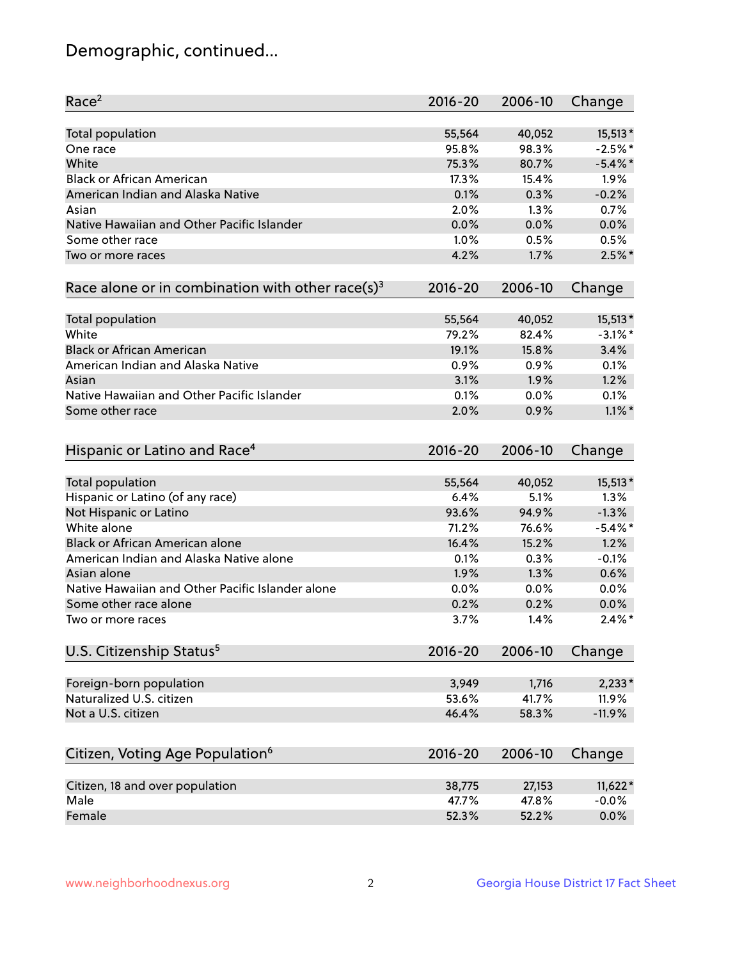## Demographic, continued...

| Race <sup>2</sup>                                            | $2016 - 20$ | 2006-10 | Change     |
|--------------------------------------------------------------|-------------|---------|------------|
| <b>Total population</b>                                      | 55,564      | 40,052  | $15,513*$  |
| One race                                                     | 95.8%       | 98.3%   | $-2.5%$ *  |
| White                                                        | 75.3%       | 80.7%   | $-5.4\%$ * |
| <b>Black or African American</b>                             | 17.3%       | 15.4%   | 1.9%       |
| American Indian and Alaska Native                            | 0.1%        | 0.3%    | $-0.2%$    |
| Asian                                                        | 2.0%        | 1.3%    | 0.7%       |
| Native Hawaiian and Other Pacific Islander                   | 0.0%        | 0.0%    | 0.0%       |
| Some other race                                              | 1.0%        | 0.5%    | 0.5%       |
| Two or more races                                            | 4.2%        | 1.7%    | $2.5%$ *   |
| Race alone or in combination with other race(s) <sup>3</sup> | $2016 - 20$ | 2006-10 | Change     |
| Total population                                             | 55,564      | 40,052  | 15,513*    |
| White                                                        | 79.2%       | 82.4%   | $-3.1\%$ * |
| <b>Black or African American</b>                             | 19.1%       | 15.8%   | 3.4%       |
| American Indian and Alaska Native                            | 0.9%        | 0.9%    | 0.1%       |
| Asian                                                        | 3.1%        | 1.9%    | 1.2%       |
| Native Hawaiian and Other Pacific Islander                   | 0.1%        | 0.0%    | 0.1%       |
| Some other race                                              | 2.0%        | 0.9%    | $1.1\%$ *  |
| Hispanic or Latino and Race <sup>4</sup>                     | $2016 - 20$ | 2006-10 | Change     |
| <b>Total population</b>                                      | 55,564      | 40,052  | 15,513*    |
| Hispanic or Latino (of any race)                             | 6.4%        | 5.1%    | 1.3%       |
| Not Hispanic or Latino                                       | 93.6%       | 94.9%   | $-1.3%$    |
| White alone                                                  | 71.2%       | 76.6%   | $-5.4\%$ * |
| Black or African American alone                              | 16.4%       | 15.2%   | 1.2%       |
| American Indian and Alaska Native alone                      | 0.1%        | 0.3%    | $-0.1%$    |
| Asian alone                                                  | 1.9%        | 1.3%    | 0.6%       |
| Native Hawaiian and Other Pacific Islander alone             | $0.0\%$     | 0.0%    | 0.0%       |
| Some other race alone                                        | 0.2%        | 0.2%    | 0.0%       |
| Two or more races                                            | 3.7%        | 1.4%    | $2.4\%$ *  |
| U.S. Citizenship Status <sup>5</sup>                         | 2016-20     | 2006-10 | Change     |
|                                                              |             |         |            |
| Foreign-born population                                      | 3,949       | 1,716   | $2,233*$   |
| Naturalized U.S. citizen                                     | 53.6%       | 41.7%   | 11.9%      |
| Not a U.S. citizen                                           | 46.4%       | 58.3%   | $-11.9%$   |
| Citizen, Voting Age Population <sup>6</sup>                  | $2016 - 20$ | 2006-10 | Change     |
| Citizen, 18 and over population                              | 38,775      | 27,153  | 11,622*    |
| Male                                                         | 47.7%       | 47.8%   | $-0.0%$    |
| Female                                                       | 52.3%       | 52.2%   | 0.0%       |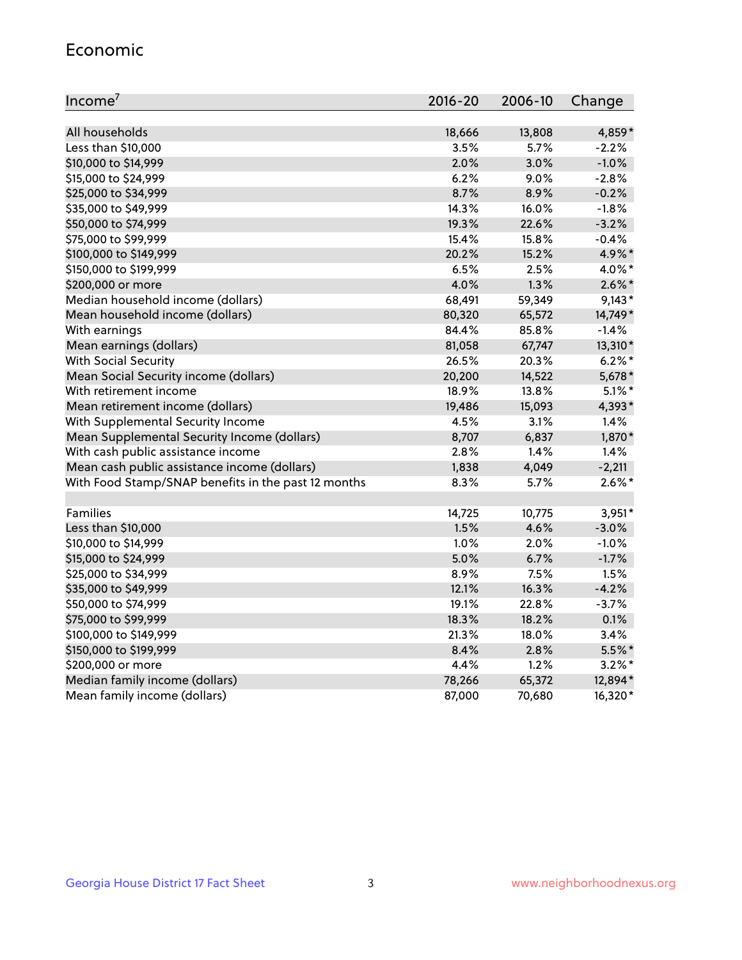#### Economic

| Income <sup>7</sup>                                 | $2016 - 20$ | 2006-10 | Change    |
|-----------------------------------------------------|-------------|---------|-----------|
|                                                     |             |         |           |
| All households                                      | 18,666      | 13,808  | 4,859*    |
| Less than \$10,000                                  | 3.5%        | 5.7%    | $-2.2%$   |
| \$10,000 to \$14,999                                | 2.0%        | 3.0%    | $-1.0%$   |
| \$15,000 to \$24,999                                | 6.2%        | 9.0%    | $-2.8%$   |
| \$25,000 to \$34,999                                | 8.7%        | 8.9%    | $-0.2%$   |
| \$35,000 to \$49,999                                | 14.3%       | 16.0%   | $-1.8%$   |
| \$50,000 to \$74,999                                | 19.3%       | 22.6%   | $-3.2%$   |
| \$75,000 to \$99,999                                | 15.4%       | 15.8%   | $-0.4%$   |
| \$100,000 to \$149,999                              | 20.2%       | 15.2%   | 4.9%*     |
| \$150,000 to \$199,999                              | 6.5%        | 2.5%    | 4.0%*     |
| \$200,000 or more                                   | 4.0%        | 1.3%    | $2.6\%$ * |
| Median household income (dollars)                   | 68,491      | 59,349  | $9,143*$  |
| Mean household income (dollars)                     | 80,320      | 65,572  | 14,749*   |
| With earnings                                       | 84.4%       | 85.8%   | $-1.4%$   |
| Mean earnings (dollars)                             | 81,058      | 67,747  | 13,310*   |
| <b>With Social Security</b>                         | 26.5%       | 20.3%   | $6.2\%$ * |
| Mean Social Security income (dollars)               | 20,200      | 14,522  | 5,678*    |
| With retirement income                              | 18.9%       | 13.8%   | $5.1\%$ * |
| Mean retirement income (dollars)                    | 19,486      | 15,093  | 4,393*    |
| With Supplemental Security Income                   | 4.5%        | $3.1\%$ | 1.4%      |
| Mean Supplemental Security Income (dollars)         | 8,707       | 6,837   | 1,870*    |
| With cash public assistance income                  | 2.8%        | 1.4%    | 1.4%      |
| Mean cash public assistance income (dollars)        | 1,838       | 4,049   | $-2,211$  |
| With Food Stamp/SNAP benefits in the past 12 months | 8.3%        | 5.7%    | $2.6\%$ * |
|                                                     |             |         |           |
| Families                                            | 14,725      | 10,775  | $3,951*$  |
| Less than \$10,000                                  | 1.5%        | 4.6%    | $-3.0%$   |
| \$10,000 to \$14,999                                | 1.0%        | 2.0%    | $-1.0%$   |
| \$15,000 to \$24,999                                | 5.0%        | 6.7%    | $-1.7%$   |
| \$25,000 to \$34,999                                | 8.9%        | 7.5%    | 1.5%      |
| \$35,000 to \$49,999                                | 12.1%       | 16.3%   | $-4.2%$   |
| \$50,000 to \$74,999                                | 19.1%       | 22.8%   | $-3.7%$   |
| \$75,000 to \$99,999                                | 18.3%       | 18.2%   | 0.1%      |
| \$100,000 to \$149,999                              | 21.3%       | 18.0%   | 3.4%      |
| \$150,000 to \$199,999                              | 8.4%        | 2.8%    | 5.5%*     |
| \$200,000 or more                                   | 4.4%        | 1.2%    | $3.2\%$ * |
| Median family income (dollars)                      | 78,266      | 65,372  | 12,894*   |
| Mean family income (dollars)                        | 87,000      | 70,680  | 16,320*   |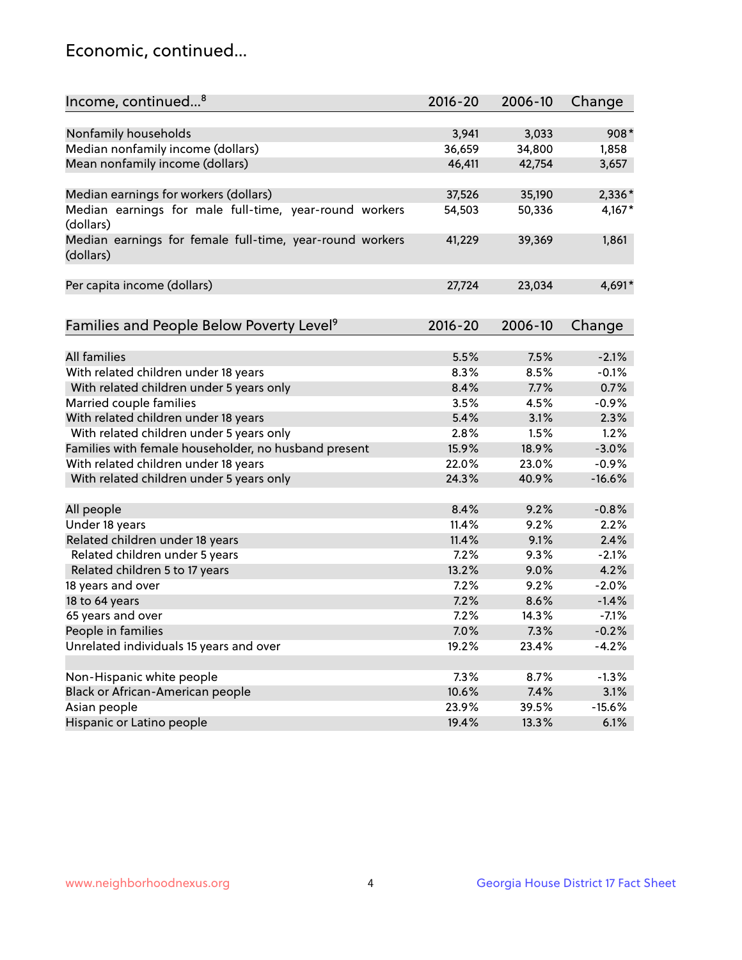## Economic, continued...

| Income, continued <sup>8</sup>                                        | 2016-20 | 2006-10      | Change          |
|-----------------------------------------------------------------------|---------|--------------|-----------------|
|                                                                       |         |              |                 |
| Nonfamily households                                                  | 3,941   | 3,033        | 908*            |
| Median nonfamily income (dollars)                                     | 36,659  | 34,800       | 1,858           |
| Mean nonfamily income (dollars)                                       | 46,411  | 42,754       | 3,657           |
| Median earnings for workers (dollars)                                 | 37,526  | 35,190       | 2,336*          |
| Median earnings for male full-time, year-round workers                | 54,503  | 50,336       | $4,167*$        |
| (dollars)                                                             |         |              |                 |
| Median earnings for female full-time, year-round workers<br>(dollars) | 41,229  | 39,369       | 1,861           |
| Per capita income (dollars)                                           | 27,724  | 23,034       | 4,691*          |
|                                                                       |         |              |                 |
| Families and People Below Poverty Level <sup>9</sup>                  | 2016-20 | 2006-10      | Change          |
| <b>All families</b>                                                   | 5.5%    | 7.5%         | $-2.1%$         |
|                                                                       | 8.3%    | 8.5%         | $-0.1%$         |
| With related children under 18 years                                  | 8.4%    | 7.7%         | 0.7%            |
| With related children under 5 years only                              | 3.5%    |              | $-0.9%$         |
| Married couple families                                               | 5.4%    | 4.5%<br>3.1% | 2.3%            |
| With related children under 18 years                                  |         |              |                 |
| With related children under 5 years only                              | 2.8%    | 1.5%         | 1.2%<br>$-3.0%$ |
| Families with female householder, no husband present                  | 15.9%   | 18.9%        |                 |
| With related children under 18 years                                  | 22.0%   | 23.0%        | $-0.9%$         |
| With related children under 5 years only                              | 24.3%   | 40.9%        | $-16.6%$        |
| All people                                                            | 8.4%    | 9.2%         | $-0.8%$         |
| Under 18 years                                                        | 11.4%   | 9.2%         | 2.2%            |
| Related children under 18 years                                       | 11.4%   | 9.1%         | 2.4%            |
| Related children under 5 years                                        | 7.2%    | 9.3%         | $-2.1%$         |
| Related children 5 to 17 years                                        | 13.2%   | 9.0%         | 4.2%            |
| 18 years and over                                                     | 7.2%    | 9.2%         | $-2.0%$         |
| 18 to 64 years                                                        | 7.2%    | 8.6%         | $-1.4%$         |
| 65 years and over                                                     | 7.2%    | 14.3%        | $-7.1%$         |
| People in families                                                    | 7.0%    | 7.3%         | $-0.2%$         |
| Unrelated individuals 15 years and over                               | 19.2%   | 23.4%        | $-4.2%$         |
|                                                                       |         |              |                 |
| Non-Hispanic white people                                             | 7.3%    | 8.7%         | $-1.3%$         |
| Black or African-American people                                      | 10.6%   | 7.4%         | 3.1%            |
| Asian people                                                          | 23.9%   | 39.5%        | $-15.6%$        |
| Hispanic or Latino people                                             | 19.4%   | 13.3%        | 6.1%            |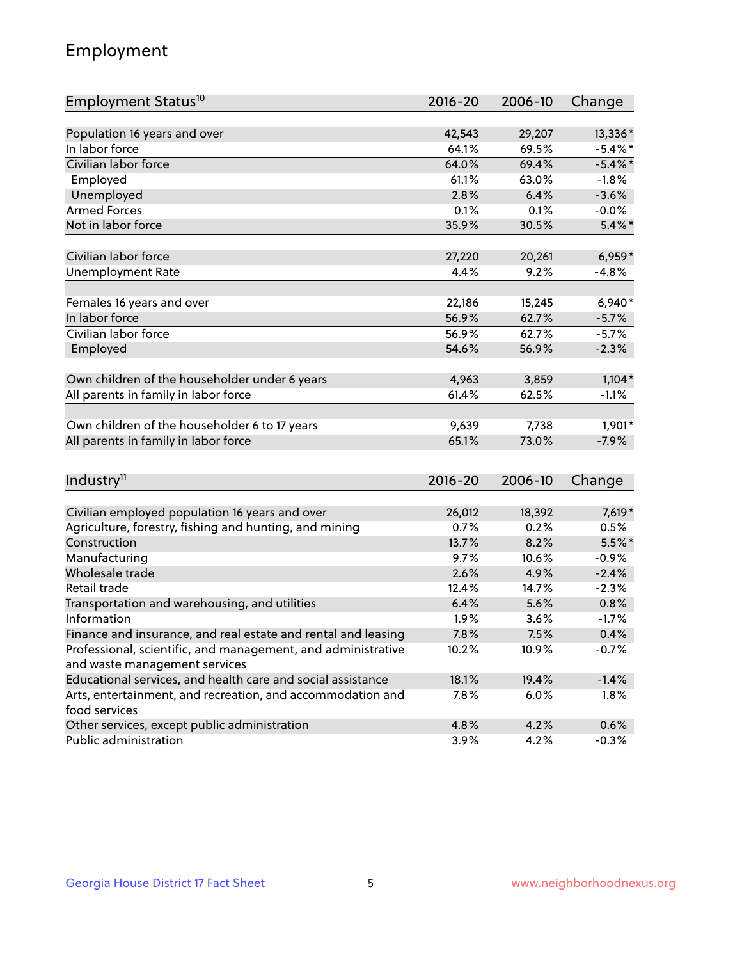## Employment

| Employment Status <sup>10</sup>                                                                                               | $2016 - 20$    | 2006-10        | Change          |
|-------------------------------------------------------------------------------------------------------------------------------|----------------|----------------|-----------------|
|                                                                                                                               |                |                |                 |
| Population 16 years and over                                                                                                  | 42,543         | 29,207         | 13,336*         |
| In labor force                                                                                                                | 64.1%          | 69.5%          | $-5.4\%$ *      |
| Civilian labor force                                                                                                          | 64.0%          | 69.4%          | $-5.4\%$ *      |
| Employed                                                                                                                      | 61.1%          | 63.0%          | $-1.8%$         |
| Unemployed                                                                                                                    | 2.8%           | 6.4%           | $-3.6%$         |
| <b>Armed Forces</b>                                                                                                           | 0.1%           | 0.1%           | $-0.0%$         |
| Not in labor force                                                                                                            | 35.9%          | 30.5%          | $5.4\%$ *       |
| Civilian labor force                                                                                                          | 27,220         | 20,261         | $6,959*$        |
|                                                                                                                               | 4.4%           | 9.2%           | $-4.8%$         |
| <b>Unemployment Rate</b>                                                                                                      |                |                |                 |
| Females 16 years and over                                                                                                     | 22,186         | 15,245         | $6,940*$        |
| In labor force                                                                                                                | 56.9%          | 62.7%          | $-5.7%$         |
| Civilian labor force                                                                                                          | 56.9%          | 62.7%          | $-5.7%$         |
| Employed                                                                                                                      | 54.6%          | 56.9%          | $-2.3%$         |
|                                                                                                                               |                |                |                 |
| Own children of the householder under 6 years                                                                                 | 4,963<br>61.4% | 3,859<br>62.5% | $1,104*$        |
| All parents in family in labor force                                                                                          |                |                | $-1.1%$         |
| Own children of the householder 6 to 17 years                                                                                 | 9,639          | 7,738          | 1,901*          |
| All parents in family in labor force                                                                                          | 65.1%          | 73.0%          | $-7.9%$         |
|                                                                                                                               |                |                |                 |
| Industry <sup>11</sup>                                                                                                        | $2016 - 20$    | 2006-10        | Change          |
|                                                                                                                               |                |                |                 |
| Civilian employed population 16 years and over                                                                                | 26,012         | 18,392         | 7,619*          |
| Agriculture, forestry, fishing and hunting, and mining                                                                        | 0.7%           | 0.2%           | 0.5%            |
| Construction                                                                                                                  | 13.7%          | 8.2%           | 5.5%*           |
| Manufacturing<br>Wholesale trade                                                                                              | 9.7%<br>2.6%   | 10.6%          | $-0.9%$         |
|                                                                                                                               |                | 4.9%           | $-2.4%$         |
| Retail trade                                                                                                                  | 12.4%<br>6.4%  | 14.7%<br>5.6%  | $-2.3%$<br>0.8% |
| Transportation and warehousing, and utilities<br>Information                                                                  |                |                |                 |
|                                                                                                                               | 1.9%<br>7.8%   | 3.6%<br>7.5%   | $-1.7%$<br>0.4% |
| Finance and insurance, and real estate and rental and leasing<br>Professional, scientific, and management, and administrative |                |                |                 |
| and waste management services                                                                                                 | 10.2%          | 10.9%          | $-0.7%$         |
| Educational services, and health care and social assistance                                                                   | 18.1%          | 19.4%          | $-1.4%$         |
| Arts, entertainment, and recreation, and accommodation and                                                                    | 7.8%           | 6.0%           | 1.8%            |
| food services                                                                                                                 |                |                |                 |
| Other services, except public administration                                                                                  | 4.8%           | 4.2%           | 0.6%            |
| Public administration                                                                                                         | 3.9%           | 4.2%           | $-0.3%$         |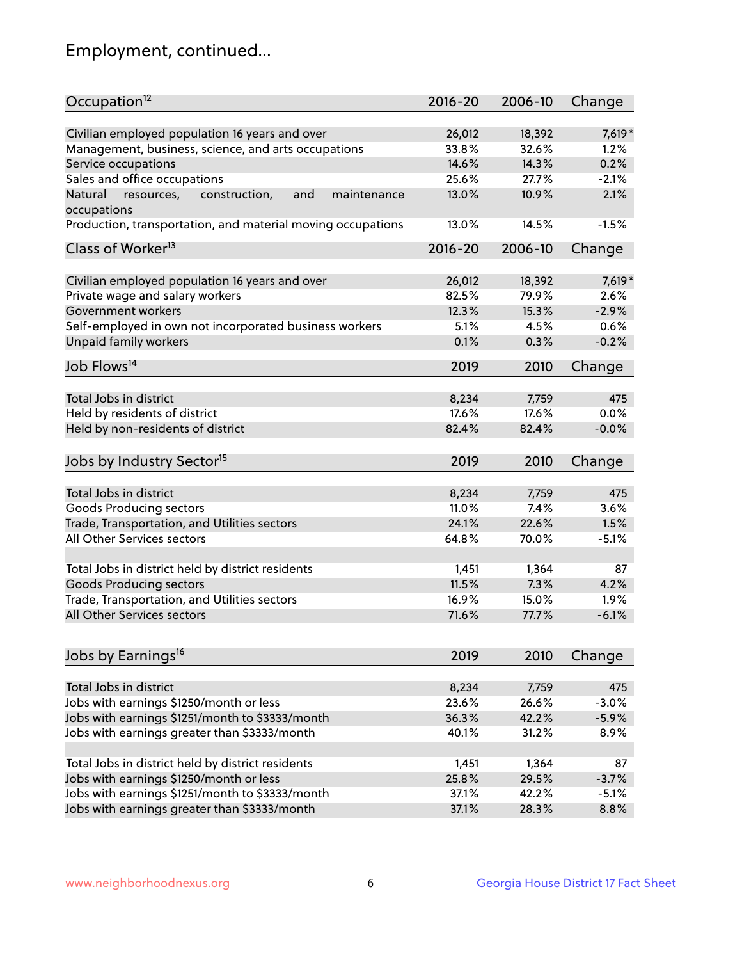## Employment, continued...

| Occupation <sup>12</sup>                                     | $2016 - 20$ | 2006-10 | Change  |
|--------------------------------------------------------------|-------------|---------|---------|
| Civilian employed population 16 years and over               | 26,012      | 18,392  | 7,619*  |
| Management, business, science, and arts occupations          | 33.8%       | 32.6%   | 1.2%    |
| Service occupations                                          | 14.6%       | 14.3%   | 0.2%    |
| Sales and office occupations                                 | 25.6%       | 27.7%   | $-2.1%$ |
| and<br>Natural<br>resources,<br>construction,<br>maintenance | 13.0%       | 10.9%   | 2.1%    |
| occupations                                                  |             |         |         |
| Production, transportation, and material moving occupations  | 13.0%       | 14.5%   | $-1.5%$ |
| Class of Worker <sup>13</sup>                                | $2016 - 20$ | 2006-10 | Change  |
|                                                              |             |         |         |
| Civilian employed population 16 years and over               | 26,012      | 18,392  | 7,619*  |
| Private wage and salary workers                              | 82.5%       | 79.9%   | 2.6%    |
| Government workers                                           | 12.3%       | 15.3%   | $-2.9%$ |
| Self-employed in own not incorporated business workers       | 5.1%        | 4.5%    | 0.6%    |
| <b>Unpaid family workers</b>                                 | 0.1%        | 0.3%    | $-0.2%$ |
| Job Flows <sup>14</sup>                                      | 2019        | 2010    | Change  |
|                                                              |             |         |         |
| Total Jobs in district                                       | 8,234       | 7,759   | 475     |
| Held by residents of district                                | 17.6%       | 17.6%   | 0.0%    |
| Held by non-residents of district                            | 82.4%       | 82.4%   | $-0.0%$ |
| Jobs by Industry Sector <sup>15</sup>                        | 2019        | 2010    | Change  |
| Total Jobs in district                                       | 8,234       | 7,759   | 475     |
|                                                              |             |         |         |
| Goods Producing sectors                                      | 11.0%       | 7.4%    | 3.6%    |
| Trade, Transportation, and Utilities sectors                 | 24.1%       | 22.6%   | 1.5%    |
| All Other Services sectors                                   | 64.8%       | 70.0%   | $-5.1%$ |
| Total Jobs in district held by district residents            | 1,451       | 1,364   | 87      |
| <b>Goods Producing sectors</b>                               | 11.5%       | 7.3%    | 4.2%    |
| Trade, Transportation, and Utilities sectors                 | 16.9%       | 15.0%   | 1.9%    |
| All Other Services sectors                                   | 71.6%       | 77.7%   | $-6.1%$ |
|                                                              |             |         |         |
| Jobs by Earnings <sup>16</sup>                               | 2019        | 2010    | Change  |
| Total Jobs in district                                       | 8,234       | 7,759   | 475     |
|                                                              | 23.6%       | 26.6%   | $-3.0%$ |
| Jobs with earnings \$1250/month or less                      |             |         |         |
| Jobs with earnings \$1251/month to \$3333/month              | 36.3%       | 42.2%   | $-5.9%$ |
| Jobs with earnings greater than \$3333/month                 | 40.1%       | 31.2%   | 8.9%    |
| Total Jobs in district held by district residents            | 1,451       | 1,364   | 87      |
| Jobs with earnings \$1250/month or less                      | 25.8%       | 29.5%   | $-3.7%$ |
| Jobs with earnings \$1251/month to \$3333/month              | 37.1%       | 42.2%   | $-5.1%$ |
| Jobs with earnings greater than \$3333/month                 | 37.1%       | 28.3%   | 8.8%    |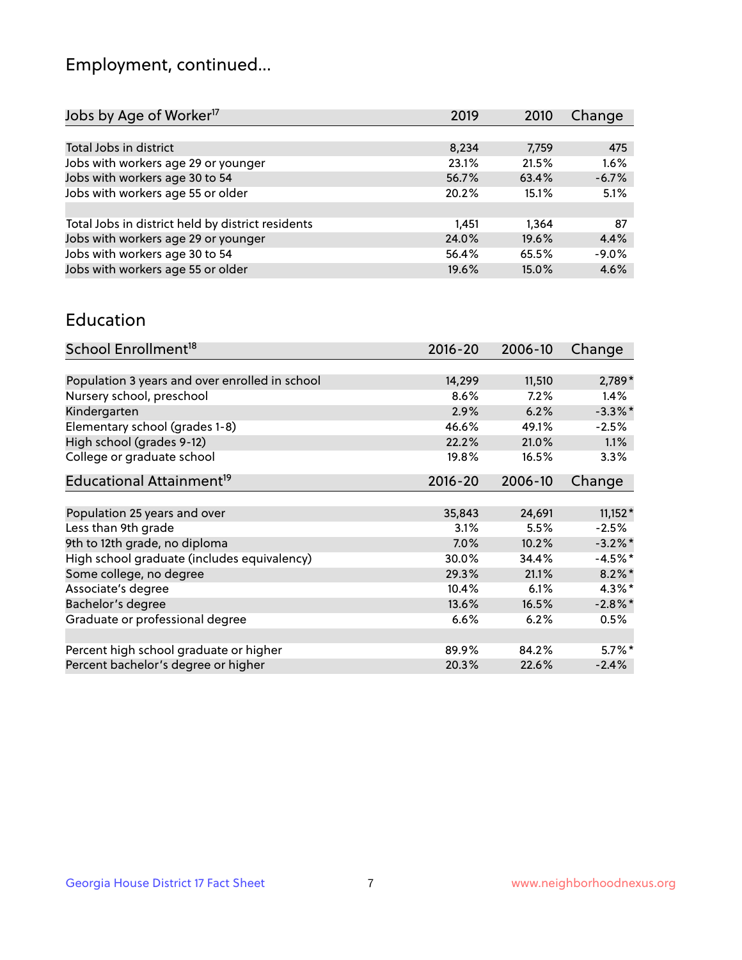## Employment, continued...

| 2019  | 2010  | Change  |
|-------|-------|---------|
|       |       |         |
| 8,234 | 7,759 | 475     |
| 23.1% | 21.5% | 1.6%    |
| 56.7% | 63.4% | $-6.7%$ |
| 20.2% | 15.1% | 5.1%    |
|       |       |         |
| 1,451 | 1.364 | 87      |
| 24.0% | 19.6% | 4.4%    |
| 56.4% | 65.5% | $-9.0%$ |
| 19.6% | 15.0% | 4.6%    |
|       |       |         |

#### Education

| School Enrollment <sup>18</sup>                | $2016 - 20$ | 2006-10 | Change     |
|------------------------------------------------|-------------|---------|------------|
|                                                |             |         |            |
| Population 3 years and over enrolled in school | 14,299      | 11,510  | 2,789*     |
| Nursery school, preschool                      | 8.6%        | 7.2%    | $1.4\%$    |
| Kindergarten                                   | 2.9%        | 6.2%    | $-3.3\%$ * |
| Elementary school (grades 1-8)                 | 46.6%       | 49.1%   | $-2.5%$    |
| High school (grades 9-12)                      | 22.2%       | 21.0%   | $1.1\%$    |
| College or graduate school                     | 19.8%       | 16.5%   | 3.3%       |
| Educational Attainment <sup>19</sup>           | $2016 - 20$ | 2006-10 | Change     |
|                                                |             |         |            |
| Population 25 years and over                   | 35,843      | 24,691  | $11,152*$  |
| Less than 9th grade                            | 3.1%        | 5.5%    | $-2.5%$    |
| 9th to 12th grade, no diploma                  | 7.0%        | 10.2%   | $-3.2\%$ * |
| High school graduate (includes equivalency)    | 30.0%       | 34.4%   | $-4.5%$ *  |
| Some college, no degree                        | 29.3%       | 21.1%   | $8.2\%$ *  |
| Associate's degree                             | 10.4%       | 6.1%    | $4.3\%$ *  |
| Bachelor's degree                              | 13.6%       | 16.5%   | $-2.8\%$ * |
| Graduate or professional degree                | 6.6%        | 6.2%    | 0.5%       |
|                                                |             |         |            |
| Percent high school graduate or higher         | 89.9%       | 84.2%   | $5.7\%$ *  |
| Percent bachelor's degree or higher            | 20.3%       | 22.6%   | $-2.4%$    |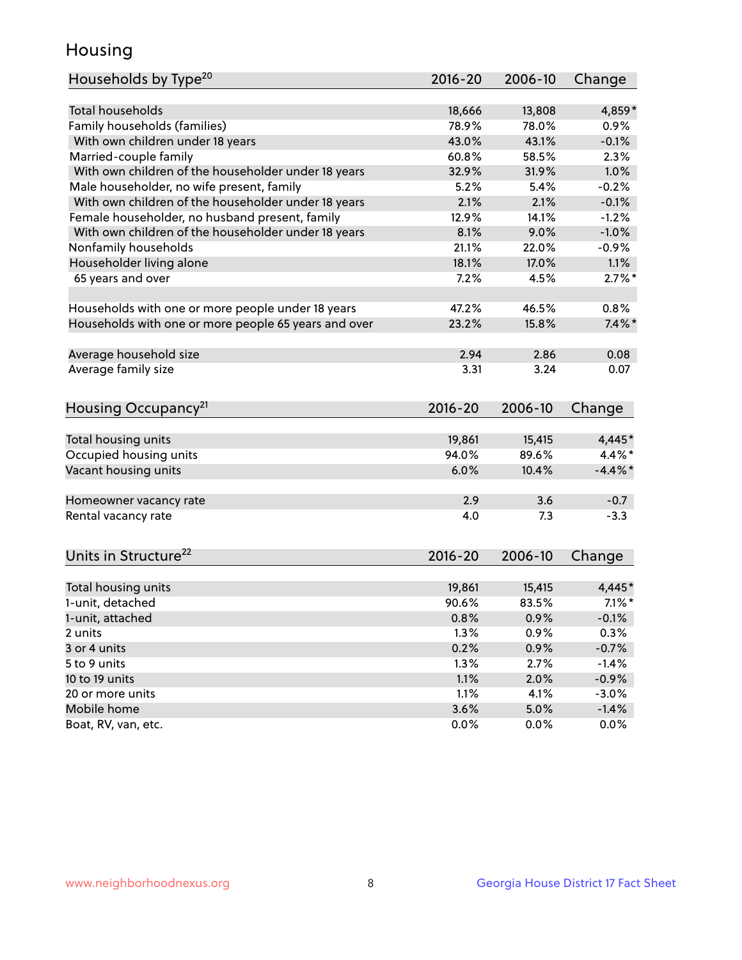## Housing

| Households by Type <sup>20</sup>                     | 2016-20     | 2006-10 | Change     |
|------------------------------------------------------|-------------|---------|------------|
|                                                      |             |         |            |
| <b>Total households</b>                              | 18,666      | 13,808  | 4,859*     |
| Family households (families)                         | 78.9%       | 78.0%   | 0.9%       |
| With own children under 18 years                     | 43.0%       | 43.1%   | $-0.1%$    |
| Married-couple family                                | 60.8%       | 58.5%   | 2.3%       |
| With own children of the householder under 18 years  | 32.9%       | 31.9%   | 1.0%       |
| Male householder, no wife present, family            | 5.2%        | 5.4%    | $-0.2%$    |
| With own children of the householder under 18 years  | 2.1%        | 2.1%    | $-0.1%$    |
| Female householder, no husband present, family       | 12.9%       | 14.1%   | $-1.2%$    |
| With own children of the householder under 18 years  | 8.1%        | 9.0%    | $-1.0%$    |
| Nonfamily households                                 | 21.1%       | 22.0%   | $-0.9%$    |
| Householder living alone                             | 18.1%       | 17.0%   | 1.1%       |
| 65 years and over                                    | 7.2%        | 4.5%    | $2.7\%$ *  |
|                                                      |             |         |            |
| Households with one or more people under 18 years    | 47.2%       | 46.5%   | 0.8%       |
| Households with one or more people 65 years and over | 23.2%       | 15.8%   | $7.4\%$ *  |
|                                                      |             |         |            |
| Average household size                               | 2.94        | 2.86    | 0.08       |
| Average family size                                  | 3.31        | 3.24    | 0.07       |
|                                                      |             |         |            |
| Housing Occupancy <sup>21</sup>                      | $2016 - 20$ | 2006-10 | Change     |
|                                                      |             |         |            |
| Total housing units                                  | 19,861      | 15,415  | 4,445*     |
| Occupied housing units                               | 94.0%       | 89.6%   | $4.4\%$ *  |
| Vacant housing units                                 | 6.0%        | 10.4%   | $-4.4\%$ * |
|                                                      |             |         |            |
| Homeowner vacancy rate                               | 2.9         | 3.6     | $-0.7$     |
| Rental vacancy rate                                  | 4.0         | 7.3     | $-3.3$     |
|                                                      |             |         |            |
| Units in Structure <sup>22</sup>                     | 2016-20     | 2006-10 | Change     |
|                                                      |             |         |            |
| Total housing units                                  | 19,861      | 15,415  | 4,445*     |
| 1-unit, detached                                     | 90.6%       | 83.5%   | $7.1\%$ *  |
| 1-unit, attached                                     | 0.8%        | 0.9%    | $-0.1%$    |
| 2 units                                              | 1.3%        | 0.9%    | 0.3%       |
| 3 or 4 units                                         | 0.2%        | 0.9%    | $-0.7%$    |
| 5 to 9 units                                         | 1.3%        | 2.7%    | $-1.4%$    |
| 10 to 19 units                                       | 1.1%        | 2.0%    | $-0.9%$    |
| 20 or more units                                     | 1.1%        | 4.1%    | $-3.0%$    |
| Mobile home                                          | 3.6%        | 5.0%    | $-1.4%$    |
| Boat, RV, van, etc.                                  | 0.0%        | $0.0\%$ | $0.0\%$    |
|                                                      |             |         |            |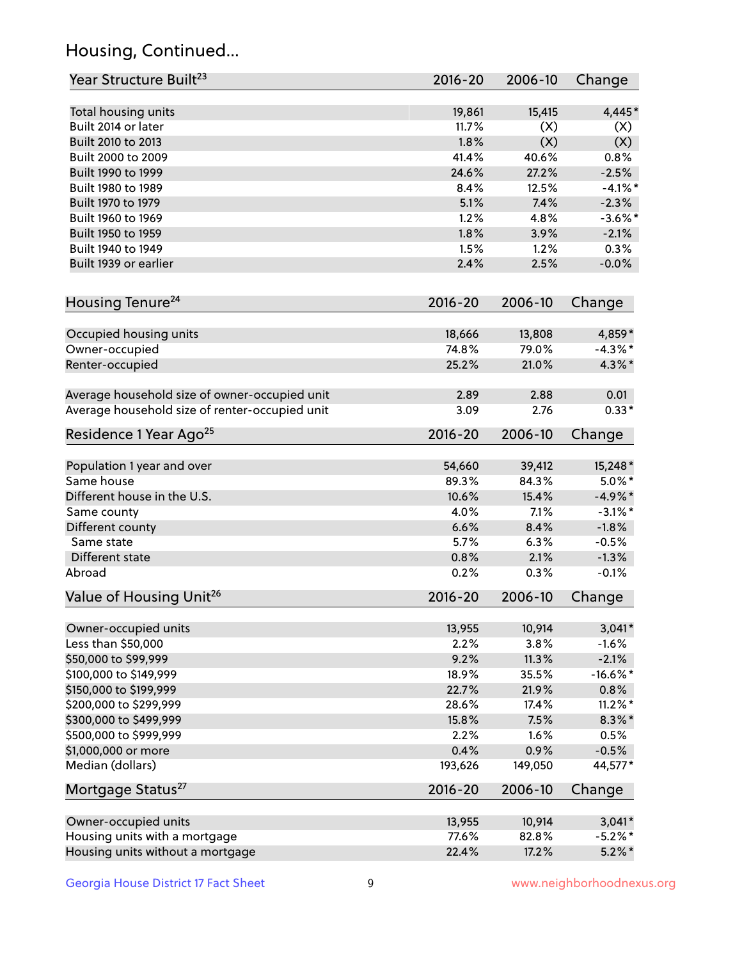## Housing, Continued...

| Year Structure Built <sup>23</sup>             | 2016-20     | 2006-10 | Change     |
|------------------------------------------------|-------------|---------|------------|
| Total housing units                            | 19,861      | 15,415  | $4,445*$   |
| Built 2014 or later                            | 11.7%       | (X)     | (X)        |
| Built 2010 to 2013                             | 1.8%        | (X)     | (X)        |
| Built 2000 to 2009                             | 41.4%       | 40.6%   | 0.8%       |
| Built 1990 to 1999                             | 24.6%       | 27.2%   | $-2.5%$    |
| Built 1980 to 1989                             | 8.4%        | 12.5%   | $-4.1%$ *  |
| Built 1970 to 1979                             | 5.1%        | 7.4%    | $-2.3%$    |
| Built 1960 to 1969                             | 1.2%        | 4.8%    | $-3.6%$ *  |
| Built 1950 to 1959                             | 1.8%        | 3.9%    | $-2.1%$    |
| Built 1940 to 1949                             | 1.5%        | 1.2%    | 0.3%       |
| Built 1939 or earlier                          | 2.4%        | 2.5%    | $-0.0%$    |
| Housing Tenure <sup>24</sup>                   | $2016 - 20$ | 2006-10 | Change     |
| Occupied housing units                         | 18,666      | 13,808  | 4,859*     |
| Owner-occupied                                 | 74.8%       | 79.0%   | $-4.3\%$ * |
| Renter-occupied                                | 25.2%       | 21.0%   | $4.3\%$ *  |
| Average household size of owner-occupied unit  | 2.89        | 2.88    | 0.01       |
| Average household size of renter-occupied unit | 3.09        | 2.76    | $0.33*$    |
| Residence 1 Year Ago <sup>25</sup>             | 2016-20     | 2006-10 | Change     |
| Population 1 year and over                     | 54,660      | 39,412  | 15,248*    |
| Same house                                     | 89.3%       | 84.3%   | $5.0\%$ *  |
| Different house in the U.S.                    | 10.6%       | 15.4%   | $-4.9\%$ * |
| Same county                                    | 4.0%        | 7.1%    | $-3.1\%$ * |
| Different county                               | 6.6%        | 8.4%    | $-1.8%$    |
| Same state                                     | 5.7%        | 6.3%    | $-0.5%$    |
| Different state                                | 0.8%        | 2.1%    | $-1.3%$    |
| Abroad                                         | 0.2%        | 0.3%    | $-0.1%$    |
| Value of Housing Unit <sup>26</sup>            | $2016 - 20$ | 2006-10 | Change     |
| Owner-occupied units                           | 13,955      | 10,914  | $3,041*$   |
| Less than \$50,000                             | 2.2%        | 3.8%    | $-1.6%$    |
| \$50,000 to \$99,999                           | 9.2%        | 11.3%   | $-2.1%$    |
| \$100,000 to \$149,999                         | 18.9%       | 35.5%   | $-16.6%$ * |
| \$150,000 to \$199,999                         | 22.7%       | 21.9%   | 0.8%       |
| \$200,000 to \$299,999                         | 28.6%       | 17.4%   | $11.2\%$ * |
| \$300,000 to \$499,999                         | 15.8%       | 7.5%    | $8.3\% *$  |
| \$500,000 to \$999,999                         | 2.2%        | 1.6%    | 0.5%       |
| \$1,000,000 or more                            | 0.4%        | 0.9%    | $-0.5%$    |
| Median (dollars)                               | 193,626     | 149,050 | 44,577*    |
| Mortgage Status <sup>27</sup>                  | $2016 - 20$ | 2006-10 | Change     |
| Owner-occupied units                           | 13,955      | 10,914  | $3,041*$   |
| Housing units with a mortgage                  | 77.6%       | 82.8%   | $-5.2\%$ * |
| Housing units without a mortgage               | 22.4%       | 17.2%   | $5.2\%$ *  |
|                                                |             |         |            |

Georgia House District 17 Fact Sheet 9 9 9 www.neighborhoodnexus.org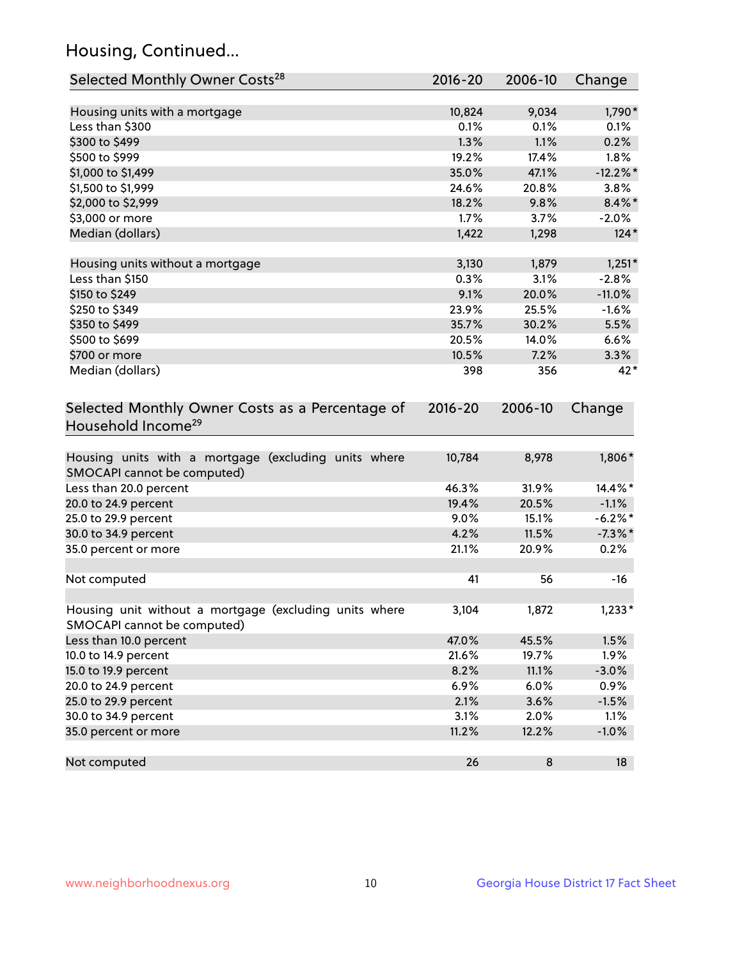## Housing, Continued...

| Selected Monthly Owner Costs <sup>28</sup>                                            | 2016-20 | 2006-10 | Change      |
|---------------------------------------------------------------------------------------|---------|---------|-------------|
| Housing units with a mortgage                                                         | 10,824  | 9,034   | 1,790*      |
| Less than \$300                                                                       | 0.1%    | 0.1%    | 0.1%        |
| \$300 to \$499                                                                        | 1.3%    | 1.1%    | 0.2%        |
| \$500 to \$999                                                                        | 19.2%   | 17.4%   | 1.8%        |
| \$1,000 to \$1,499                                                                    | 35.0%   | 47.1%   | $-12.2\%$ * |
| \$1,500 to \$1,999                                                                    | 24.6%   | 20.8%   | 3.8%        |
| \$2,000 to \$2,999                                                                    | 18.2%   | 9.8%    | $8.4\%$ *   |
| \$3,000 or more                                                                       | 1.7%    | 3.7%    | $-2.0\%$    |
| Median (dollars)                                                                      | 1,422   | 1,298   | $124*$      |
| Housing units without a mortgage                                                      | 3,130   | 1,879   | $1,251*$    |
| Less than \$150                                                                       | 0.3%    | 3.1%    | $-2.8%$     |
| \$150 to \$249                                                                        | 9.1%    | 20.0%   | $-11.0%$    |
| \$250 to \$349                                                                        | 23.9%   | 25.5%   | $-1.6%$     |
| \$350 to \$499                                                                        | 35.7%   | 30.2%   | 5.5%        |
| \$500 to \$699                                                                        | 20.5%   | 14.0%   | 6.6%        |
| \$700 or more                                                                         | 10.5%   | 7.2%    | 3.3%        |
| Median (dollars)                                                                      | 398     | 356     | 42*         |
| Household Income <sup>29</sup>                                                        |         |         |             |
| Housing units with a mortgage (excluding units where<br>SMOCAPI cannot be computed)   | 10,784  | 8,978   | 1,806*      |
| Less than 20.0 percent                                                                | 46.3%   | 31.9%   | 14.4%*      |
| 20.0 to 24.9 percent                                                                  | 19.4%   | 20.5%   | $-1.1%$     |
| 25.0 to 29.9 percent                                                                  | 9.0%    | 15.1%   | $-6.2\%$ *  |
| 30.0 to 34.9 percent                                                                  | 4.2%    | 11.5%   | $-7.3\%$ *  |
| 35.0 percent or more                                                                  | 21.1%   | 20.9%   | 0.2%        |
| Not computed                                                                          | 41      | 56      | $-16$       |
| Housing unit without a mortgage (excluding units where<br>SMOCAPI cannot be computed) | 3,104   | 1,872   | $1,233*$    |
| Less than 10.0 percent                                                                | 47.0%   | 45.5%   | 1.5%        |
| 10.0 to 14.9 percent                                                                  | 21.6%   | 19.7%   | 1.9%        |
| 15.0 to 19.9 percent                                                                  | 8.2%    | 11.1%   | $-3.0%$     |
| 20.0 to 24.9 percent                                                                  | 6.9%    | 6.0%    | 0.9%        |
| 25.0 to 29.9 percent                                                                  | 2.1%    | 3.6%    | $-1.5%$     |
| 30.0 to 34.9 percent                                                                  | 3.1%    | 2.0%    | 1.1%        |
| 35.0 percent or more                                                                  | 11.2%   | 12.2%   | $-1.0%$     |
| Not computed                                                                          | 26      | 8       | 18          |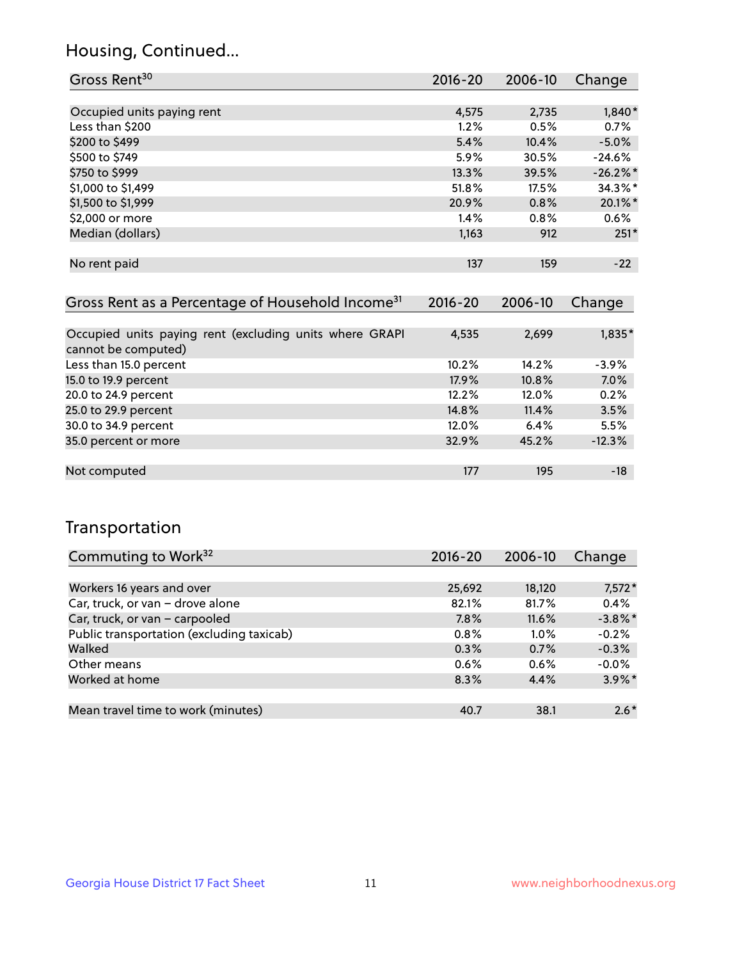### Housing, Continued...

| Gross Rent <sup>30</sup>   | 2016-20 | 2006-10 | Change     |
|----------------------------|---------|---------|------------|
|                            |         |         |            |
| Occupied units paying rent | 4,575   | 2,735   | 1,840*     |
| Less than \$200            | 1.2%    | 0.5%    | 0.7%       |
| \$200 to \$499             | 5.4%    | 10.4%   | $-5.0%$    |
| \$500 to \$749             | 5.9%    | 30.5%   | $-24.6%$   |
| \$750 to \$999             | 13.3%   | 39.5%   | $-26.2%$ * |
| \$1,000 to \$1,499         | 51.8%   | 17.5%   | $34.3\%$ * |
| \$1,500 to \$1,999         | 20.9%   | 0.8%    | 20.1%*     |
| \$2,000 or more            | 1.4%    | 0.8%    | 0.6%       |
| Median (dollars)           | 1,163   | 912     | $251*$     |
|                            |         |         |            |
| No rent paid               | 137     | 159     | $-22$      |
|                            |         |         |            |

| Gross Rent as a Percentage of Household Income <sup>31</sup>                   | $2016 - 20$ | 2006-10 | Change   |
|--------------------------------------------------------------------------------|-------------|---------|----------|
|                                                                                |             |         |          |
| Occupied units paying rent (excluding units where GRAPI<br>cannot be computed) | 4,535       | 2,699   | 1,835*   |
| Less than 15.0 percent                                                         | 10.2%       | 14.2%   | $-3.9%$  |
| 15.0 to 19.9 percent                                                           | 17.9%       | 10.8%   | 7.0%     |
| 20.0 to 24.9 percent                                                           | 12.2%       | 12.0%   | 0.2%     |
| 25.0 to 29.9 percent                                                           | 14.8%       | 11.4%   | 3.5%     |
| 30.0 to 34.9 percent                                                           | 12.0%       | 6.4%    | 5.5%     |
| 35.0 percent or more                                                           | 32.9%       | 45.2%   | $-12.3%$ |
|                                                                                |             |         |          |
| Not computed                                                                   | 177         | 195     | $-18$    |

## Transportation

| Commuting to Work <sup>32</sup>           | 2016-20 | 2006-10 | Change     |
|-------------------------------------------|---------|---------|------------|
|                                           |         |         |            |
| Workers 16 years and over                 | 25,692  | 18,120  | $7,572*$   |
| Car, truck, or van - drove alone          | 82.1%   | 81.7%   | 0.4%       |
| Car, truck, or van - carpooled            | 7.8%    | 11.6%   | $-3.8\%$ * |
| Public transportation (excluding taxicab) | 0.8%    | $1.0\%$ | $-0.2%$    |
| Walked                                    | 0.3%    | 0.7%    | $-0.3%$    |
| Other means                               | $0.6\%$ | 0.6%    | $-0.0%$    |
| Worked at home                            | 8.3%    | 4.4%    | $3.9\%$ *  |
|                                           |         |         |            |
| Mean travel time to work (minutes)        | 40.7    | 38.1    | $2.6*$     |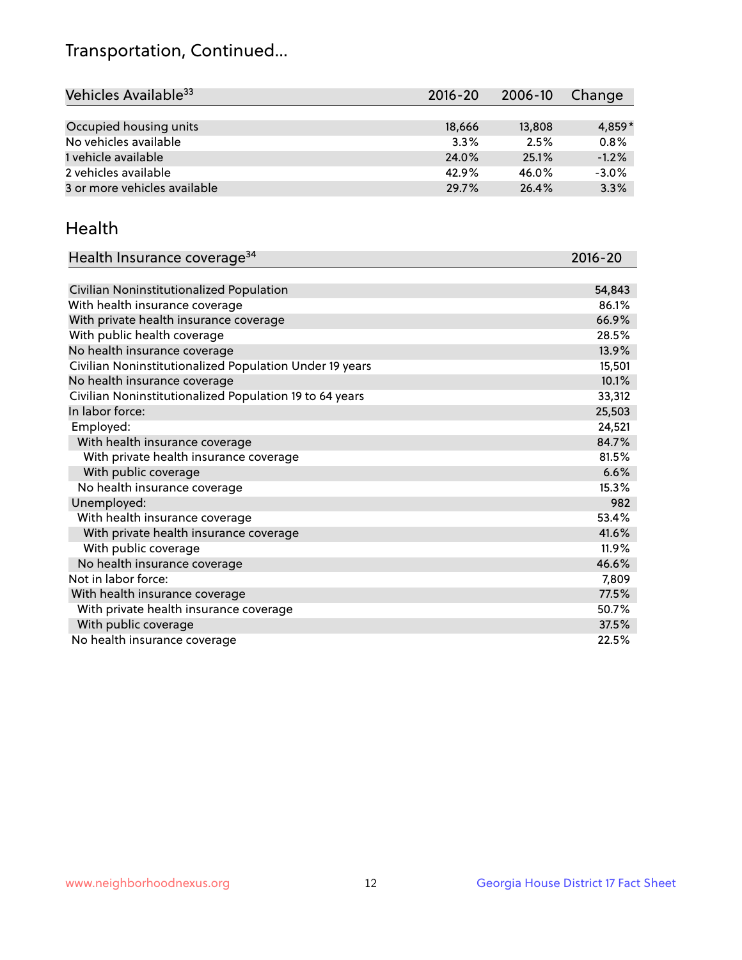## Transportation, Continued...

| Vehicles Available <sup>33</sup> | $2016 - 20$ | 2006-10 | Change   |
|----------------------------------|-------------|---------|----------|
|                                  |             |         |          |
| Occupied housing units           | 18,666      | 13,808  | $4,859*$ |
| No vehicles available            | 3.3%        | 2.5%    | 0.8%     |
| 1 vehicle available              | 24.0%       | 25.1%   | $-1.2%$  |
| 2 vehicles available             | 42.9%       | 46.0%   | $-3.0%$  |
| 3 or more vehicles available     | 29.7%       | 26.4%   | 3.3%     |

#### Health

| Health Insurance coverage <sup>34</sup>                 | 2016-20 |
|---------------------------------------------------------|---------|
|                                                         |         |
| Civilian Noninstitutionalized Population                | 54,843  |
| With health insurance coverage                          | 86.1%   |
| With private health insurance coverage                  | 66.9%   |
| With public health coverage                             | 28.5%   |
| No health insurance coverage                            | 13.9%   |
| Civilian Noninstitutionalized Population Under 19 years | 15,501  |
| No health insurance coverage                            | 10.1%   |
| Civilian Noninstitutionalized Population 19 to 64 years | 33,312  |
| In labor force:                                         | 25,503  |
| Employed:                                               | 24,521  |
| With health insurance coverage                          | 84.7%   |
| With private health insurance coverage                  | 81.5%   |
| With public coverage                                    | 6.6%    |
| No health insurance coverage                            | 15.3%   |
| Unemployed:                                             | 982     |
| With health insurance coverage                          | 53.4%   |
| With private health insurance coverage                  | 41.6%   |
| With public coverage                                    | 11.9%   |
| No health insurance coverage                            | 46.6%   |
| Not in labor force:                                     | 7,809   |
| With health insurance coverage                          | 77.5%   |
| With private health insurance coverage                  | 50.7%   |
| With public coverage                                    | 37.5%   |
| No health insurance coverage                            | 22.5%   |